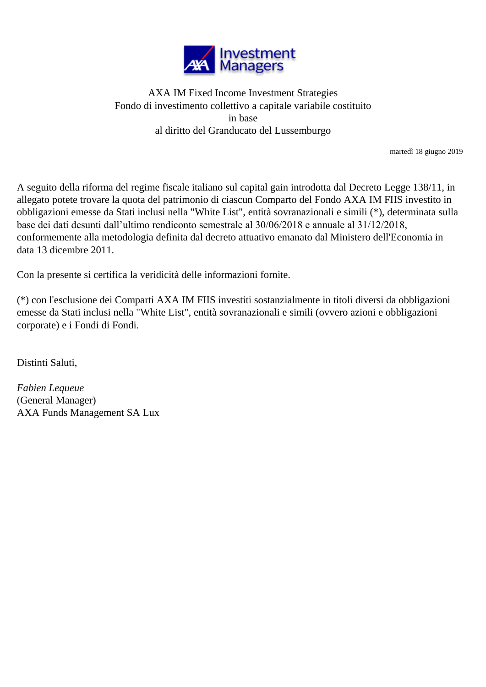

## AXA IM Fixed Income Investment Strategies Fondo di investimento collettivo a capitale variabile costituito in base al diritto del Granducato del Lussemburgo

martedì 18 giugno 2019

A seguito della riforma del regime fiscale italiano sul capital gain introdotta dal Decreto Legge 138/11, in allegato potete trovare la quota del patrimonio di ciascun Comparto del Fondo AXA IM FIIS investito in obbligazioni emesse da Stati inclusi nella "White List", entità sovranazionali e simili (\*), determinata sulla base dei dati desunti dall'ultimo rendiconto semestrale al 30/06/2018 e annuale al 31/12/2018, conformemente alla metodologia definita dal decreto attuativo emanato dal Ministero dell'Economia in data 13 dicembre 2011.

Con la presente si certifica la veridicità delle informazioni fornite.

(\*) con l'esclusione dei Comparti AXA IM FIIS investiti sostanzialmente in titoli diversi da obbligazioni emesse da Stati inclusi nella "White List", entità sovranazionali e simili (ovvero azioni e obbligazioni corporate) e i Fondi di Fondi.

Distinti Saluti,

*Fabien Lequeue* (General Manager) AXA Funds Management SA Lux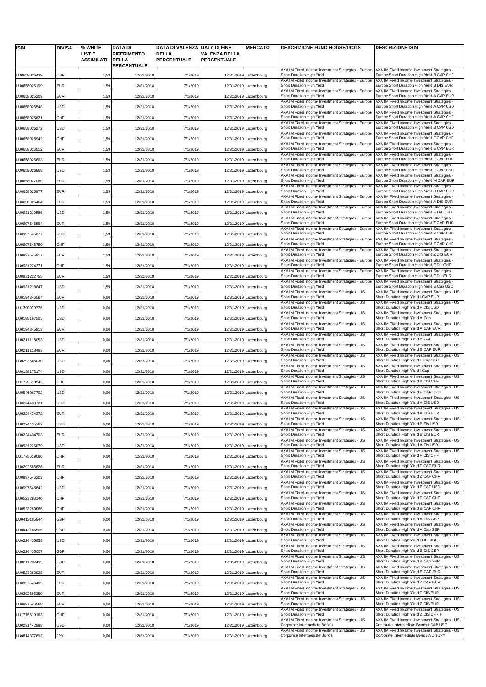| <b>ISIN</b>  | <b>DIVISA</b> | % WHITE              | <b>DATA DI</b>                                    | DATA DI VALENZA DATA DI FINE       |                                            | <b>MERCATO</b>        | <b>DESCRIZIONE FUND HOUSE/UCITS</b>                                             | <b>DESCRIZIONE ISIN</b>                                                                   |
|--------------|---------------|----------------------|---------------------------------------------------|------------------------------------|--------------------------------------------|-----------------------|---------------------------------------------------------------------------------|-------------------------------------------------------------------------------------------|
|              |               | LIST E<br>ASSIMILATI | <b>RIFERIMENTO</b><br><b>DELLA</b><br>PERCENTUALE | <b>DELLA</b><br><b>PERCENTUALE</b> | <b>VALENZA DELLA</b><br><b>PERCENTUALE</b> |                       |                                                                                 |                                                                                           |
| LU0658026439 | CHF           | 1,59                 | 12/31/2018                                        | 7/1/2019                           |                                            | 12/31/2019 Luxembourg | AXA IM Fixed Income Investment Strategies - Europe<br>Short Duration High Yield | AXA IM Fixed Income Investment Strategies<br>Europe Short Duration High Yield B CAP CHF   |
| LU0658026199 | EUR           | 1,59                 | 12/31/2018                                        | 7/1/2019                           |                                            | 12/31/2019 Luxembourg | AXA IM Fixed Income Investment Strategies - Europe<br>Short Duration High Yield | AXA IM Fixed Income Investment Strategies -<br>Europe Short Duration High Yield B DIS EUR |
| LU0658025209 | EUR           | 1,59                 | 12/31/2018                                        | 7/1/2019                           |                                            | 12/31/2019 Luxembourg | AXA IM Fixed Income Investment Strategies - Europe<br>Short Duration High Yield | AXA IM Fixed Income Investment Strategies -<br>Europe Short Duration High Yield A CAP EUR |
|              |               |                      |                                                   |                                    |                                            |                       | AXA IM Fixed Income Investment Strategies - Europe<br>Short Duration High Yield | AXA IM Fixed Income Investment Strategies -<br>Europe Short Duration High Yield A CAP USD |
| LU0658025548 | USD           | 1,59                 | 12/31/2018                                        | 7/1/2019                           |                                            | 12/31/2019 Luxembourg | AXA IM Fixed Income Investment Strategies - Europe                              | AXA IM Fixed Income Investment Strategies -                                               |
| U0658025621  | CHF           | 1,59                 | 12/31/2018                                        | 7/1/2019                           |                                            | 12/31/2019 Luxembourg | Short Duration High Yield<br>AXA IM Fixed Income Investment Strategies - Europe | Europe Short Duration High Yield A CAP CHF<br>AXA IM Fixed Income Investment Strategies - |
| U0658026272  | USD           | 1,59                 | 12/31/2018                                        | 7/1/2019                           |                                            | 12/31/2019 Luxembourg | Short Duration High Yield<br>AXA IM Fixed Income Investment Strategies - Europe | Europe Short Duration High Yield B CAP USD<br>AXA IM Fixed Income Investment Strategies - |
| LU0658026942 | CHF           | 1,59                 | 12/31/2018                                        | 7/1/2019                           |                                            | 12/31/2019 Luxembourg | Short Duration High Yield<br>AXA IM Fixed Income Investment Strategies - Europe | Europe Short Duration High Yield F CAP CHF<br>AXA IM Fixed Income Investment Strategies - |
| LU0658026512 | EUR           | 1,59                 | 12/31/2018                                        | 7/1/2019                           |                                            | 12/31/2019 Luxembourg | Short Duration High Yield<br>AXA IM Fixed Income Investment Strategies - Europe | Europe Short Duration High Yield E CAP EUR<br>AXA IM Fixed Income Investment Strategies - |
| LU0658026603 | EUR           | 1,59                 | 12/31/2018                                        | 7/1/2019                           |                                            | 12/31/2019 Luxembourg | Short Duration High Yield                                                       | Europe Short Duration High Yield F CAP EUR                                                |
| LU0658026868 | USD           | 1,59                 | 12/31/2018                                        | 7/1/2019                           |                                            | 12/31/2019 Luxembourg | AXA IM Fixed Income Investment Strategies - Europe<br>Short Duration High Yield | AXA IM Fixed Income Investment Strategies -<br>Europe Short Duration High Yield F CAP USD |
| U0658027080  | <b>EUR</b>    | 1,59                 | 12/31/2018                                        | 7/1/2019                           |                                            | 12/31/2019 Luxembourg | AXA IM Fixed Income Investment Strategies - Europe<br>Short Duration High Yield | AXA IM Fixed Income Investment Strategies -<br>Europe Short Duration High Yield M CAP EUR |
| LU0658025977 | <b>EUR</b>    | 1,59                 | 12/31/2018                                        | 7/1/2019                           |                                            | 12/31/2019 Luxembourg | AXA IM Fixed Income Investment Strategies - Europe<br>Short Duration High Yield | AXA IM Fixed Income Investment Strategies -<br>Europe Short Duration High Yield B CAP EUR |
| LU0658025464 | <b>EUR</b>    | 1,59                 | 12/31/2018                                        | 7/1/2019                           |                                            | 12/31/2019 Luxembourg | AXA IM Fixed Income Investment Strategies - Europe<br>Short Duration High Yield | AXA IM Fixed Income Investment Strategies<br>Europe Short Duration High Yield A DIS EUR   |
| LU0931210586 | USD           | 1,59                 | 12/31/2018                                        | 7/1/2019                           |                                            | 12/31/2019 Luxembourg | AXA IM Fixed Income Investment Strategies - Europe<br>Short Duration High Yield | AXA IM Fixed Income Investment Strategies -<br>Europe Short Duration High Yield E Dis USD |
|              |               |                      |                                                   |                                    |                                            |                       | AXA IM Fixed Income Investment Strategies - Europe                              | AXA IM Fixed Income Investment Strategies -                                               |
| LU0997545594 | EUR           | 1,59                 | 12/31/2018                                        | 7/1/2019                           |                                            | 12/31/2019 Luxembourg | Short Duration High Yield<br>AXA IM Fixed Income Investment Strategies - Europe | Europe Short Duration High Yield Z CAP EUR<br>AXA IM Fixed Income Investment Strategies - |
| LU0997545677 | USD           | 1,59                 | 12/31/2018                                        | 7/1/2019                           |                                            | 12/31/2019 Luxembourg | Short Duration High Yield<br>AXA IM Fixed Income Investment Strategies - Europe | Europe Short Duration High Yield Z CAP USD<br>AXA IM Fixed Income Investment Strategies - |
| LU0997545750 | CHF           | 1,59                 | 12/31/2018                                        | 7/1/2019                           |                                            | 12/31/2019 Luxembourg | Short Duration High Yield<br>AXA IM Fixed Income Investment Strategies - Europe | Europe Short Duration High Yield Z CAP CHF<br>AXA IM Fixed Income Investment Strategies - |
| U0997545917  | EUR           | 1,59                 | 12/31/2018                                        | 7/1/2019                           |                                            | 12/31/2019 Luxembourg | Short Duration High Yield<br>AXA IM Fixed Income Investment Strategies - Europe | Europe Short Duration High Yield Z DIS EUR<br>AXA IM Fixed Income Investment Strategies - |
| LU0931224371 | CHF           | 1,59                 | 12/31/2018                                        | 7/1/2019                           |                                            | 12/31/2019 Luxembourg | Short Duration High Yield                                                       | Europe Short Duration High Yield F Dis CHF<br>AXA IM Fixed Income Investment Strategies   |
| LU0931222755 | EUR           | 1,59                 | 12/31/2018                                        | 7/1/2019                           |                                            | 12/31/2019 Luxembourg | AXA IM Fixed Income Investment Strategies - Europe<br>Short Duration High Yield | Europe Short Duration High Yield F Dis EUR                                                |
| LU0931218647 | USD           | 1,59                 | 12/31/2018                                        | 7/1/2019                           |                                            | 12/31/2019 Luxembourg | AXA IM Fixed Income Investment Strategies - Europe<br>Short Duration High Yield | AXA IM Fixed Income Investment Strategies -<br>Europe Short Duration High Yield E Cap USD |
| U0194346564  | EUR           | 0,00                 | 12/31/2018                                        | 7/1/2019                           |                                            | 12/31/2019 Luxembourg | AXA IM Fixed Income Investment Strategies - US<br>Short Duration High Yield     | AXA IM Fixed Income Investment Strategies - US<br>Short Duration High Yield I CAP EUR     |
| LU1390070776 | USD           | 0,00                 | 12/31/2018                                        | 7/1/2019                           |                                            | 12/31/2019 Luxembourg | AXA IM Fixed Income Investment Strategies - US<br>Short Duration High Yield     | AXA IM Fixed Income Investment Strategies - US<br>Short Duration High Yield F DIS USD     |
| LU0188167505 | <b>USD</b>    | 0,00                 | 12/31/2018                                        | 7/1/2019                           |                                            | 12/31/2019 Luxembourg | AXA IM Fixed Income Investment Strategies - US<br>Short Duration High Yield     | AXA IM Fixed Income Investment Strategies - US<br>Short Duration High Yield A Cap         |
|              |               |                      |                                                   |                                    |                                            |                       | AXA IM Fixed Income Investment Strategies - US                                  | AXA IM Fixed Income Investment Strategies - US                                            |
| LU0194345913 | EUR           | 0,00                 | 12/31/2018                                        | 7/1/2019                           |                                            | 12/31/2019 Luxembourg | Short Duration High Yield<br>AXA IM Fixed Income Investment Strategies - US     | Short Duration High Yield A CAP EUR<br>AXA IM Fixed Income Investment Strategies - US     |
| U0211118053. | USD           | 0,00                 | 12/31/2018                                        | 7/1/2019                           |                                            | 12/31/2019 Luxembourg | Short Duration High Yield<br>AXA IM Fixed Income Investment Strategies - US     | Short Duration High Yield B CAP<br>AXA IM Fixed Income Investment Strategies - US         |
| LU0211118483 | EUR           | 0,00                 | 12/31/2018                                        | 7/1/2019                           |                                            | 12/31/2019 Luxembourg | Short Duration High Yield<br>AXA IM Fixed Income Investment Strategies - US     | Short Duration High Yield B CAP EUR<br>AXA IM Fixed Income Investment Strategies - US     |
| LU0292585030 | USD           | 0,00                 | 12/31/2018                                        | 7/1/2019                           |                                            | 12/31/2019 Luxembourg | Short Duration High Yield<br>AXA IM Fixed Income Investment Strategies - US     | Short Duration High Yield F Cap USD<br>AXA IM Fixed Income Investment Strategies - US     |
| LU0188172174 | USD           | 0,00                 | 12/31/2018                                        | 7/1/2019                           |                                            | 12/31/2019 Luxembourg | Short Duration High Yield<br>AXA IM Fixed Income Investment Strategies - US     | Short Duration High Yield I Cap<br>AXA IM Fixed Income Investment Strategies - US         |
| LU1775618942 | CHF           | 0,00                 | 12/31/2018                                        | 7/1/2019                           |                                            | 12/31/2019 Luxembourg | Short Duration High Yield                                                       | Short Duration High Yield B DIS CHF                                                       |
| LU0546067702 | USD           | 0,00                 | 12/31/2018                                        | 7/1/2019                           |                                            | 12/31/2019 Luxembourg | AXA IM Fixed Income Investment Strategies - US<br>Short Duration High Yield     | AXA IM Fixed Income Investment Strategies - US<br>Short Duration High Yield E CAP USD     |
| LU0224433721 | USD           | 0,00                 | 12/31/2018                                        | 7/1/2019                           |                                            | 12/31/2019 Luxembourg | AXA IM Fixed Income Investment Strategies - US<br>Short Duration High Yield     | AXA IM Fixed Income Investment Strategies - US<br>Short Duration High Yield A DIS USD     |
| LU0224434372 | <b>EUR</b>    | 0,00                 | 12/31/2018                                        | 7/1/2019                           |                                            | 12/31/2019 Luxembourg | XA IM Fixed Income Investment Strategies - US<br>Short Duration High Yield      | XA IM Fixed Income Investment Strategies - US<br>Short Duration High Yield A DIS EUR      |
| LU0224435262 | USD           | 0,00                 | 12/31/2018                                        | 7/1/2019                           |                                            | 12/31/2019 Luxembourg | AXA IM Fixed Income Investment Strategies - US<br>Short Duration High Yield     | AXA IM Fixed Income Investment Strategies - US<br>Short Duration High Yield B Dis USD     |
| LU0224434703 | <b>EUR</b>    | 0,00                 | 12/31/2018                                        | 7/1/2019                           |                                            | 12/31/2019 Luxembourg | AXA IM Fixed Income Investment Strategies - US<br>Short Duration High Yield     | AXA IM Fixed Income Investment Strategies - US<br>Short Duration High Yield B DIS EUR     |
|              |               |                      |                                                   |                                    |                                            |                       | AXA IM Fixed Income Investment Strategies - US<br>Short Duration High Yield     | AXA IM Fixed Income Investment Strategies - US<br>Short Duration High Yield A Dis USD     |
| LU0931226079 | USD           | 0,00                 | 12/31/2018                                        | 7/1/2019                           |                                            | 12/31/2019 Luxembourg | AXA IM Fixed Income Investment Strategies - US                                  | AXA IM Fixed Income Investment Strategies - US                                            |
| LU1775619080 | CHF           | 0,00                 | 12/31/2018                                        | 7/1/2019                           |                                            | 12/31/2019 Luxembourg | Short Duration High Yield<br>AXA IM Fixed Income Investment Strategies - US     | Short Duration High Yield F DIS CHF<br>AXA IM Fixed Income Investment Strategies - US     |
| LU0292585626 | <b>EUR</b>    | 0,00                 | 12/31/2018                                        | 7/1/2019                           |                                            | 12/31/2019 Luxembourg | Short Duration High Yield<br>AXA IM Fixed Income Investment Strategies - US     | Short Duration High Yield F CAP EUR<br>AXA IM Fixed Income Investment Strategies - US     |
| LU0997546303 | CHF           | 0,00                 | 12/31/2018                                        | 7/1/2019                           |                                            | 12/31/2019 Luxembourg | Short Duration High Yield<br>AXA IM Fixed Income Investment Strategies - US     | Short Duration High Yield Z CAP CHF<br>AXA IM Fixed Income Investment Strategies - US     |
| LU0997546642 | USD           | 0,00                 | 12/31/2018                                        | 7/1/2019                           |                                            | 12/31/2019 Luxembourg | Short Duration High Yield<br>AXA IM Fixed Income Investment Strategies - US     | Short Duration High Yield Z CAP USD<br>AXA IM Fixed Income Investment Strategies - US     |
| LU0523283140 | CHF           | 0,00                 | 12/31/2018                                        | 7/1/2019                           |                                            | 12/31/2019 Luxembourg | Short Duration High Yield<br>AXA IM Fixed Income Investment Strategies - US     | Short Duration High Yield F CAP CHF<br>AXA IM Fixed Income Investment Strategies - US     |
| LU0523283066 | CHF           | 0,00                 | 12/31/2018                                        | 7/1/2019                           |                                            | 12/31/2019 Luxembourg | Short Duration High Yield                                                       | Short Duration High Yield B CAP CHF                                                       |
| U0412185844  | GBP           | 0,00                 | 12/31/2018                                        | 7/1/2019                           |                                            | 12/31/2019 Luxembourg | AXA IM Fixed Income Investment Strategies - US<br>Short Duration High Yield     | AXA IM Fixed Income Investment Strategies - US<br>Short Duration High Yield A DIS GBP     |
| LU0412185505 | GBP           | 0,00                 | 12/31/2018                                        | 7/1/2019                           |                                            | 12/31/2019 Luxembourg | AXA IM Fixed Income Investment Strategies - US<br>Short Duration High Yield     | AXA IM Fixed Income Investment Strategies - US<br>Short Duration High Yield A Cap GBP     |
| LU0224435858 | USD           | 0,00                 | 12/31/2018                                        | 7/1/2019                           |                                            | 12/31/2019 Luxembourg | AXA IM Fixed Income Investment Strategies - US<br>Short Duration High Yield     | AXA IM Fixed Income Investment Strategies - US<br>Short Duration High Yield I DIS USD     |
| LU0224435007 | GBP           | 0,00                 |                                                   | 7/1/2019                           |                                            | 12/31/2019 Luxembourg | AXA IM Fixed Income Investment Strategies - US<br>Short Duration High Yield     | AXA IM Fixed Income Investment Strategies - US<br>Short Duration High Yield B DIS GBP     |
|              |               |                      | 12/31/2018                                        |                                    |                                            |                       | AXA IM Fixed Income Investment Strategies - US<br>Short Duration High Yield     | AXA IM Fixed Income Investment Strategies - US<br>Short Duration High Yield B Cap GBP     |
| LU0211237499 | GBP           | 0,00                 | 12/31/2018                                        | 7/1/2019                           |                                            | 12/31/2019 Luxembourg | AXA IM Fixed Income Investment Strategies - US                                  | AXA IM Fixed Income Investment Strategies - US                                            |
| LU0523282928 | EUR           | 0,00                 | 12/31/2018                                        | 7/1/2019                           |                                            | 12/31/2019 Luxembourg | Short Duration High Yield<br>AXA IM Fixed Income Investment Strategies - US     | Short Duration High Yield E CAP EUR<br>AXA IM Fixed Income Investment Strategies - US     |
| LU0997546485 | <b>EUR</b>    | 0,00                 | 12/31/2018                                        | 7/1/2019                           |                                            | 12/31/2019 Luxembourg | Short Duration High Yield<br>AXA IM Fixed Income Investment Strategies - US     | Short Duration High Yield Z CAP EUR<br>AXA IM Fixed Income Investment Strategies - US     |
| LU0292586350 | <b>EUR</b>    | 0,00                 | 12/31/2018                                        | 7/1/2019                           |                                            | 12/31/2019 Luxembourg | Short Duration High Yield<br>AXA IM Fixed Income Investment Strategies - US     | Short Duration High Yield F DIS EUR<br>AXA IM Fixed Income Investment Strategies - US     |
| LU0997546568 | <b>EUR</b>    | 0,00                 | 12/31/2018                                        | 7/1/2019                           |                                            | 12/31/2019 Luxembourg | Short Duration High Yield<br>AXA IM Fixed Income Investment Strategies - US     | Short Duration High Yield Z DIS EUR<br>AXA IM Fixed Income Investment Strategies - US     |
| LU1775619163 | CHF           | 0,00                 | 12/31/2018                                        | 7/1/2019                           |                                            | 12/31/2019 Luxembourg | Short Duration High Yield                                                       | Short Duration High Yield Z DIS CHF H                                                     |
| LU0231442988 | JSD           | 0,00                 | 12/31/2018                                        | 7/1/2019                           |                                            | 12/31/2019 Luxembourg | AXA IM Fixed Income Investment Strategies - US<br>Corporate Intermediate Bonds  | AXA IM Fixed Income Investment Strategies - US<br>Corporate Intermediate Bonds I CAP USD  |
| LU0814377692 | JPY           | 0,00                 | 12/31/2018                                        | 7/1/2019                           |                                            | 12/31/2019 Luxembourg | AXA IM Fixed Income Investment Strategies - US<br>Corporate Intermediate Bonds  | AXA IM Fixed Income Investment Strategies - US<br>Corporate Intermediate Bonds A Dis JPY  |